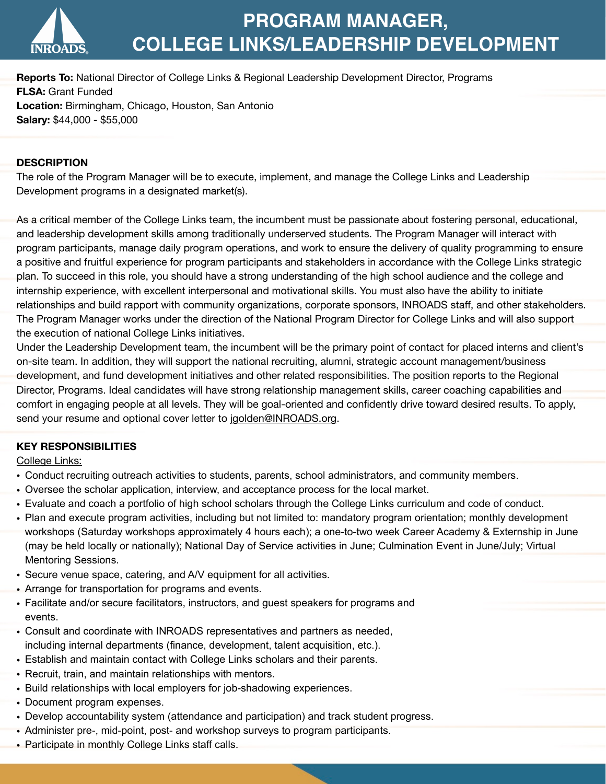

# **PROGRAM MANAGER, COLLEGE LINKS/LEADERSHIP DEVELOPMENT**

**Reports To:** National Director of College Links & Regional Leadership Development Director, Programs **FLSA:** Grant Funded **Location:** Birmingham, Chicago, Houston, San Antonio **Salary:** \$44,000 - \$55,000

## **DESCRIPTION**

The role of the Program Manager will be to execute, implement, and manage the College Links and Leadership Development programs in a designated market(s).

As a critical member of the College Links team, the incumbent must be passionate about fostering personal, educational, and leadership development skills among traditionally underserved students. The Program Manager will interact with program participants, manage daily program operations, and work to ensure the delivery of quality programming to ensure a positive and fruitful experience for program participants and stakeholders in accordance with the College Links strategic plan. To succeed in this role, you should have a strong understanding of the high school audience and the college and internship experience, with excellent interpersonal and motivational skills. You must also have the ability to initiate relationships and build rapport with community organizations, corporate sponsors, INROADS staff, and other stakeholders. The Program Manager works under the direction of the National Program Director for College Links and will also support the execution of national College Links initiatives.

Under the Leadership Development team, the incumbent will be the primary point of contact for placed interns and client's on-site team. In addition, they will support the national recruiting, alumni, strategic account management/business development, and fund development initiatives and other related responsibilities. The position reports to the Regional Director, Programs. Ideal candidates will have strong relationship management skills, career coaching capabilities and comfort in engaging people at all levels. They will be goal-oriented and confidently drive toward desired results. To apply, send your resume and optional cover letter to [jgolden@INROADS.org](mailto:jgolden@inroads.org).

## **KEY RESPONSIBILITIES**

College Links:

- Conduct recruiting outreach activities to students, parents, school administrators, and community members.
- Oversee the scholar application, interview, and acceptance process for the local market.
- Evaluate and coach a portfolio of high school scholars through the College Links curriculum and code of conduct.
- Plan and execute program activities, including but not limited to: mandatory program orientation; monthly development workshops (Saturday workshops approximately 4 hours each); a one-to-two week Career Academy & Externship in June (may be held locally or nationally); National Day of Service activities in June; Culmination Event in June/July; Virtual Mentoring Sessions.
- Secure venue space, catering, and A/V equipment for all activities.
- Arrange for transportation for programs and events.
- Facilitate and/or secure facilitators, instructors, and guest speakers for programs and events.
- Consult and coordinate with INROADS representatives and partners as needed, including internal departments (finance, development, talent acquisition, etc.).
- Establish and maintain contact with College Links scholars and their parents.
- Recruit, train, and maintain relationships with mentors.
- Build relationships with local employers for job-shadowing experiences.
- Document program expenses.
- Develop accountability system (attendance and participation) and track student progress.
- Administer pre-, mid-point, post- and workshop surveys to program participants.
- Participate in monthly College Links staff calls.